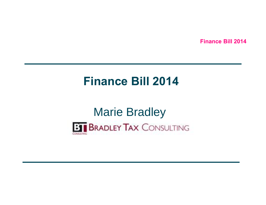### **Finance Bill 2014**

# Marie Bradley

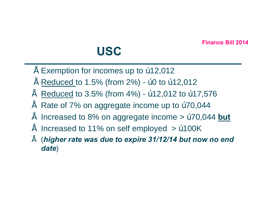### **USC**

- $"$  Exemption for incomes up to  $"$  12,012
- Reduced to 1.5% (from 2%) "0 to "12,012
- Reduced to 3.5% (from 4%) "12,012 to "17,576
- Rate of 7% on aggregate income up to "70,044"
- Increased to 8% on aggregate income > "70,044 but
- Increased to 11% on self employed  $>$  "100K
- (*higher rate was due to expire 31/12/14 but now no end date*)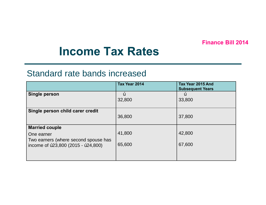### **Income Tax Rates**

#### Standard rate bands increased

| Tax Year 2014 | Tax Year 2015 And<br><b>Subsequent Years</b> |
|---------------|----------------------------------------------|
| "<br>32,800   | "<br>33,800                                  |
|               |                                              |
| 36,800        | 37,800                                       |
| 41,800        | 42,800                                       |
| 65,600        | 67,600                                       |
|               |                                              |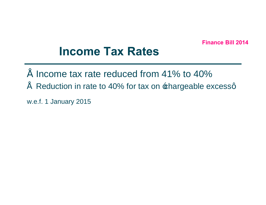### **Income Tax Rates**

- $\degree$  Income tax rate reduced from 41% to 40%
- $"$  Reduction in rate to 40% for tax on  $\pm$ hargeable excessq

w.e.f. 1 January 2015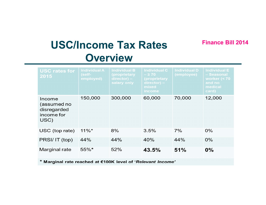### **Finance Bill 2014 USC/Income Tax Rates Overview**

| <b>USC rates for</b><br>2015                                | <b>Individual A</b><br>(self-<br>employed) | <b>Individual B</b><br>(proprietary<br>$director$ ) –<br>salary only | <b>Individual C</b><br>$-\geq 70$<br>(proprietary<br>$\text{directory}$ –<br>mixed<br><b>income</b> | <b>Individual D</b><br>(employee) | Individual E<br>- Seasonal<br>worker $(70)$<br>and no<br>medical<br>card) |  |
|-------------------------------------------------------------|--------------------------------------------|----------------------------------------------------------------------|-----------------------------------------------------------------------------------------------------|-----------------------------------|---------------------------------------------------------------------------|--|
| Income<br>(assumed no<br>disregarded<br>income for<br>USC)  | 150,000                                    | 300,000                                                              | 60,000                                                                                              | 70,000                            | 12,000                                                                    |  |
| USC (top rate)                                              | $11\%$ *                                   | 8%                                                                   | 3.5%                                                                                                | 7%                                | 0%                                                                        |  |
| PRSI/IT (top)                                               | 44%                                        | 44%                                                                  | 40%                                                                                                 | 44%                               | $0\%$                                                                     |  |
| Marginal rate                                               | $55\%$ *                                   | 52%                                                                  | 43.5%                                                                                               | 51%                               | $0\%$                                                                     |  |
| * Marginal rate reached at €100K level of 'Relevant Income' |                                            |                                                                      |                                                                                                     |                                   |                                                                           |  |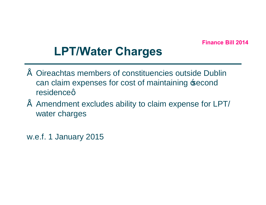# **LPT/Water Charges**

- Oireachtas members of constituencies outside Dublin can claim expenses for cost of maintaining second residenceg
- Amendment excludes ability to claim expense for LPT/ water charges

w.e.f. 1 January 2015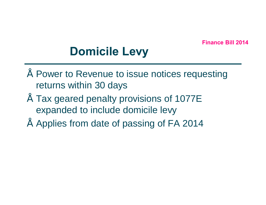# **Domicile Levy**

- Power to Revenue to issue notices requesting returns within 30 days
- Tax geared penalty provisions of 1077E expanded to include domicile levy
- Applies from date of passing of FA 2014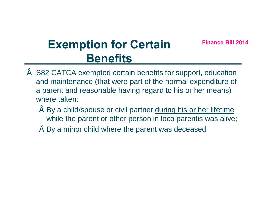# **Finance Bill 2014 Exemption for Certain Benefits**

- S82 CATCA exempted certain benefits for support, education and maintenance (that were part of the normal expenditure of a parent and reasonable having regard to his or her means) where taken:
	- By a child/spouse or civil partner during his or her lifetime while the parent or other person in loco parentis was alive;
	- By a minor child where the parent was deceased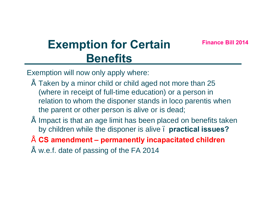# **Finance Bill 2014 Exemption for Certain Benefits**

Exemption will now only apply where:

- Taken by a minor child or child aged not more than 25 (where in receipt of full-time education) or a person in relation to whom the disponer stands in loco parentis when the parent or other person is alive or is dead;
- Impact is that an age limit has been placed on benefits taken by children while the disponer is alive – **practical issues?**
- **CS amendment – permanently incapacitated children**
- " w.e.f. date of passing of the FA 2014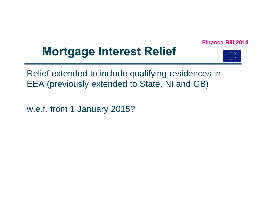# **Mortgage Interest Relief**



Relief extended to include qualifying residences in EEA (previously extended to State, NI and GB)

w.e.f. from 1 January 2015?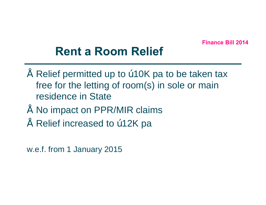# **Rent a Room Relief**

- Relief permitted up to "10K pa to be taken tax free for the letting of room(s) in sole or main residence in State
- No impact on PPR/MIR claims
- Relief increased to "12K pa

w.e.f. from 1 January 2015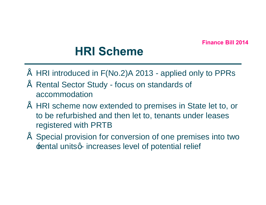# **HRI Scheme**

- HRI introduced in F(No.2)A 2013 applied only to PPRs
- Rental Sector Study focus on standards of accommodation
- HRI scheme now extended to premises in State let to, or to be refurbished and then let to, tenants under leases registered with PRTB
- Special provision for conversion of one premises into two **Example 1** Fental unitsq-increases level of potential relief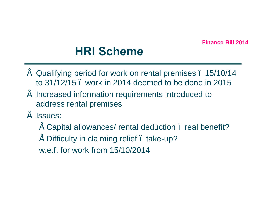# **HRI Scheme**

- Qualifying period for work on rental premises 15/10/14 to 31/12/15 – work in 2014 deemed to be done in 2015
- Increased information requirements introduced to address rental premises
- Issues:
	- Capital allowances/ rental deduction . real benefit?
	- Difficulty in claiming relief take-up?
	- w.e.f. for work from 15/10/2014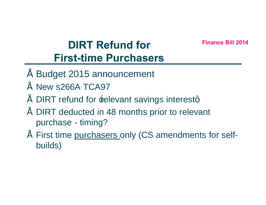### **Finance Bill 2014 DIRT Refund for First-time Purchasers**

- Budget 2015 announcement
- New s266A TCA97
- DIRT refund for **Edevant savings interestg**
- DIRT deducted in 48 months prior to relevant purchase - timing?
- First time purchasers only (CS amendments for selfbuilds)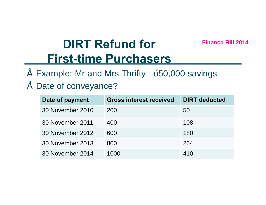# **DIRT Refund for Finance Bill 2014 First-time Purchasers**

Example: Mr and Mrs Thrifty - "50,000 savings

### • Date of conveyance?

| Date of payment  | <b>Gross interest received</b> | <b>DIRT</b> deducted |
|------------------|--------------------------------|----------------------|
| 30 November 2010 | 200                            | 50                   |
| 30 November 2011 | 400                            | 108                  |
| 30 November 2012 | 600                            | 180                  |
| 30 November 2013 | 800                            | 264                  |
| 30 November 2014 | 1000                           | 410                  |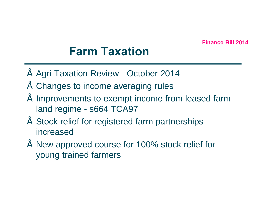# **Farm Taxation**

- Agri-Taxation Review October 2014
- Changes to income averaging rules
- Improvements to exempt income from leased farm land regime - s664 TCA97
- Stock relief for registered farm partnerships increased
- New approved course for 100% stock relief for young trained farmers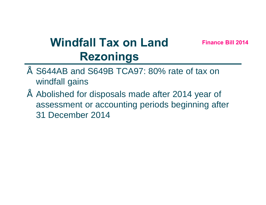# **Windfall Tax on Land Finance Bill 2014 Rezonings**

- S644AB and S649B TCA97: 80% rate of tax on windfall gains
- Abolished for disposals made after 2014 year of assessment or accounting periods beginning after 31 December 2014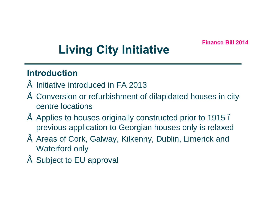# **Living City Initiative**

### **Introduction**

- Initiative introduced in FA 2013
- Conversion or refurbishment of dilapidated houses in city centre locations
- Applies to houses originally constructed prior to 1915 previous application to Georgian houses only is relaxed
- Areas of Cork, Galway, Kilkenny, Dublin, Limerick and Waterford only
- Subject to EU approval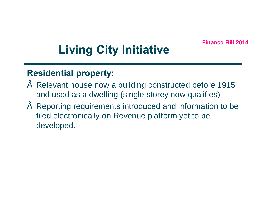# **Living City Initiative**

### **Residential property:**

- Relevant house now a building constructed before 1915 and used as a dwelling (single storey now qualifies)
- Reporting requirements introduced and information to be filed electronically on Revenue platform yet to be developed.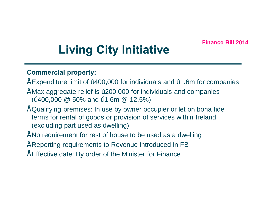# **Living City Initiative**

#### **Commercial property:**

- $\degree$  Expenditure limit of  $\degree$  400,000 for individuals and  $\degree$  1.6m for companies
- Max aggregate relief is €200,000 for individuals and companies (" $400,000 \ @$  50% and "1.6m  $\ @$  12.5%)
- Qualifying premises: In use by owner occupier or let on bona fide terms for rental of goods or provision of services within Ireland (excluding part used as dwelling)
- No requirement for rest of house to be used as a dwelling
- Reporting requirements to Revenue introduced in FB
- Effective date: By order of the Minister for Finance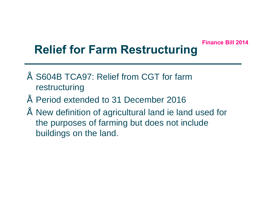# **Relief for Farm Restructuring**

- S604B TCA97: Relief from CGT for farm restructuring
- Period extended to 31 December 2016
- New definition of agricultural land ie land used for the purposes of farming but does not include buildings on the land.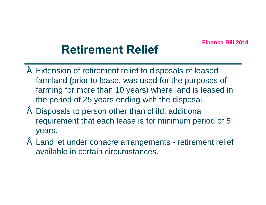# **Retirement Relief**

- Extension of retirement relief to disposals of leased farmland (prior to lease, was used for the purposes of farming for more than 10 years) where land is leased in the period of 25 years ending with the disposal.
- Disposals to person other than child: additional requirement that each lease is for minimum period of 5 years.
- Land let under conacre arrangements retirement relief available in certain circumstances.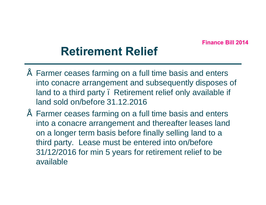# **Retirement Relief**

- Farmer ceases farming on a full time basis and enters into conacre arrangement and subsequently disposes of land to a third party. Retirement relief only available if land sold on/before 31.12.2016
- Farmer ceases farming on a full time basis and enters into a conacre arrangement and thereafter leases land on a longer term basis before finally selling land to a third party. Lease must be entered into on/before 31/12/2016 for min 5 years for retirement relief to be available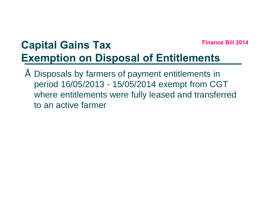# **Finance Bill 2014 Capital Gains Tax Exemption on Disposal of Entitlements**

Disposals by farmers of payment entitlements in period 16/05/2013 - 15/05/2014 exempt from CGT where entitlements were fully leased and transferred to an active farmer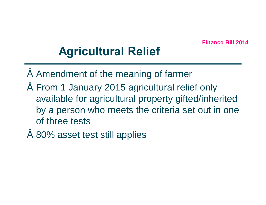# **Agricultural Relief**

- Amendment of the meaning of farmer
- From 1 January 2015 agricultural relief only available for agricultural property gifted/inherited by a person who meets the criteria set out in one of three tests
- 80% asset test still applies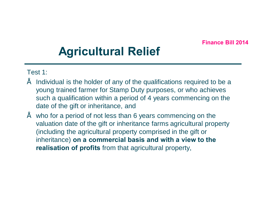# **Agricultural Relief**

#### Test 1:

- Individual is the holder of any of the qualifications required to be a young trained farmer for Stamp Duty purposes, or who achieves such a qualification within a period of 4 years commencing on the date of the gift or inheritance, and
- $\degree$  who for a period of not less than 6 years commencing on the valuation date of the gift or inheritance farms agricultural property (including the agricultural property comprised in the gift or inheritance) **on a commercial basis and with a view to the realisation of profits** from that agricultural property,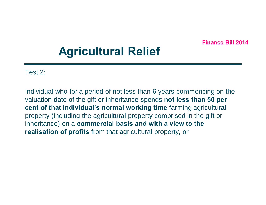# **Agricultural Relief**

Test 2:

Individual who for a period of not less than 6 years commencing on the valuation date of the gift or inheritance spends **not less than 50 per cent of that individual's normal working time** farming agricultural property (including the agricultural property comprised in the gift or inheritance) on a **commercial basis and with a view to the realisation of profits** from that agricultural property, or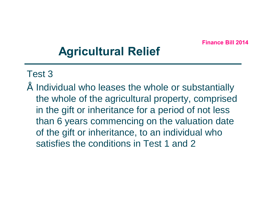# **Agricultural Relief**

### Test 3

Individual who leases the whole or substantially the whole of the agricultural property, comprised in the gift or inheritance for a period of not less than 6 years commencing on the valuation date of the gift or inheritance, to an individual who satisfies the conditions in Test 1 and 2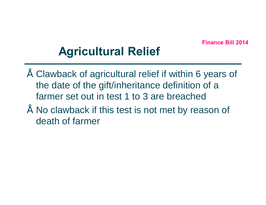# **Agricultural Relief**

- Clawback of agricultural relief if within 6 years of the date of the gift/inheritance definition of a farmer set out in test 1 to 3 are breached
- No clawback if this test is not met by reason of death of farmer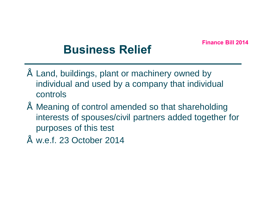# **Business Relief**

- Land, buildings, plant or machinery owned by individual and used by a company that individual controls
- Meaning of control amended so that shareholding interests of spouses/civil partners added together for purposes of this test
- $"$  w.e.f. 23 October 2014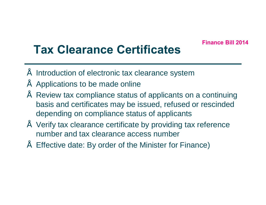# **Tax Clearance Certificates**

- Introduction of electronic tax clearance system
- Applications to be made online
- Review tax compliance status of applicants on a continuing basis and certificates may be issued, refused or rescinded depending on compliance status of applicants
- Verify tax clearance certificate by providing tax reference number and tax clearance access number
- Effective date: By order of the Minister for Finance)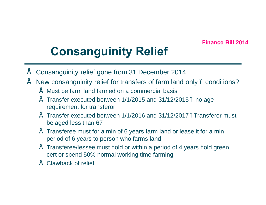# **Consanguinity Relief**

- Consanguinity relief gone from 31 December 2014
- New consanguinity relief for transfers of farm land only . conditions?
	- Must be farm land farmed on a commercial basis
	- Transfer executed between 1/1/2015 and 31/12/2015 no age requirement for transferor
	- $\degree$  Transfer executed between 1/1/2016 and 31/12/2017 . Transferor must be aged less than 67
	- $\degree$  Transferee must for a min of 6 years farm land or lease it for a min period of 6 years to person who farms land
	- Transferee/lessee must hold or within a period of 4 years hold green cert or spend 50% normal working time farming
	- Clawback of relief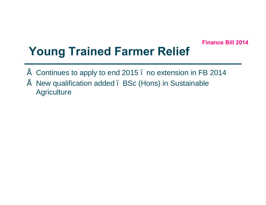# **Young Trained Farmer Relief**

- Continues to apply to end 2015 no extension in FB 2014
- New qualification added BSc (Hons) in Sustainable **Agriculture**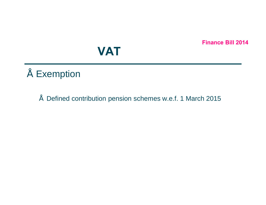# **VAT**

- Exemption
	- Defined contribution pension schemes w.e.f. 1 March 2015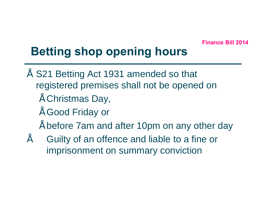# **Betting shop opening hours**

- S21 Betting Act 1931 amended so that registered premises shall not be opened on
	- Christmas Day,
	- Good Friday or
	- before 7am and after 10pm on any other day
- Guilty of an offence and liable to a fine or imprisonment on summary conviction